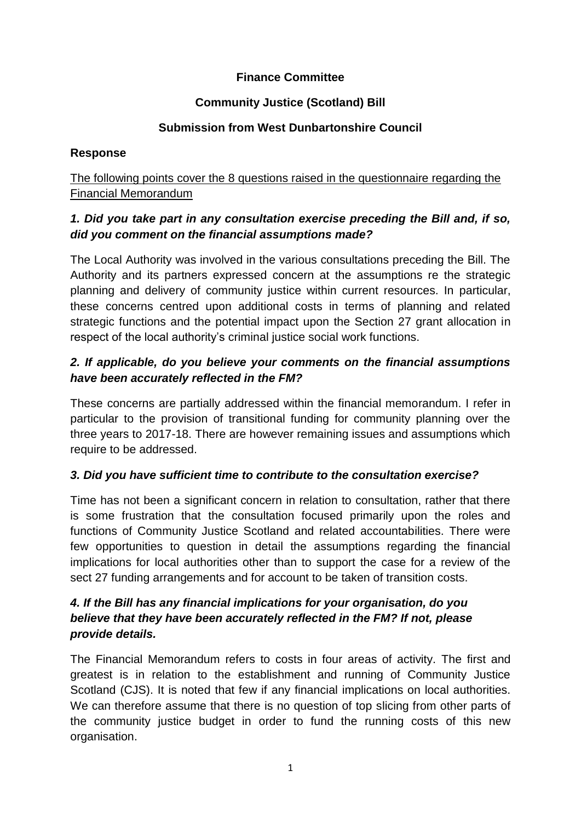## **Finance Committee**

# **Community Justice (Scotland) Bill**

#### **Submission from West Dunbartonshire Council**

#### **Response**

## The following points cover the 8 questions raised in the questionnaire regarding the Financial Memorandum

## *1. Did you take part in any consultation exercise preceding the Bill and, if so, did you comment on the financial assumptions made?*

The Local Authority was involved in the various consultations preceding the Bill. The Authority and its partners expressed concern at the assumptions re the strategic planning and delivery of community justice within current resources. In particular, these concerns centred upon additional costs in terms of planning and related strategic functions and the potential impact upon the Section 27 grant allocation in respect of the local authority's criminal justice social work functions.

## *2. If applicable, do you believe your comments on the financial assumptions have been accurately reflected in the FM?*

These concerns are partially addressed within the financial memorandum. I refer in particular to the provision of transitional funding for community planning over the three years to 2017-18. There are however remaining issues and assumptions which require to be addressed.

# *3. Did you have sufficient time to contribute to the consultation exercise?*

Time has not been a significant concern in relation to consultation, rather that there is some frustration that the consultation focused primarily upon the roles and functions of Community Justice Scotland and related accountabilities. There were few opportunities to question in detail the assumptions regarding the financial implications for local authorities other than to support the case for a review of the sect 27 funding arrangements and for account to be taken of transition costs.

# *4. If the Bill has any financial implications for your organisation, do you believe that they have been accurately reflected in the FM? If not, please provide details.*

The Financial Memorandum refers to costs in four areas of activity. The first and greatest is in relation to the establishment and running of Community Justice Scotland (CJS). It is noted that few if any financial implications on local authorities. We can therefore assume that there is no question of top slicing from other parts of the community justice budget in order to fund the running costs of this new organisation.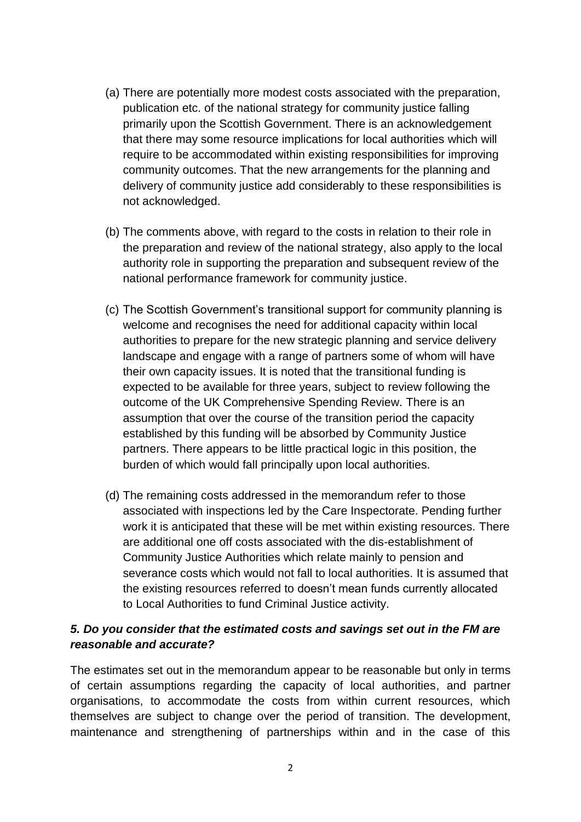- (a) There are potentially more modest costs associated with the preparation, publication etc. of the national strategy for community justice falling primarily upon the Scottish Government. There is an acknowledgement that there may some resource implications for local authorities which will require to be accommodated within existing responsibilities for improving community outcomes. That the new arrangements for the planning and delivery of community justice add considerably to these responsibilities is not acknowledged.
- (b) The comments above, with regard to the costs in relation to their role in the preparation and review of the national strategy, also apply to the local authority role in supporting the preparation and subsequent review of the national performance framework for community justice.
- (c) The Scottish Government's transitional support for community planning is welcome and recognises the need for additional capacity within local authorities to prepare for the new strategic planning and service delivery landscape and engage with a range of partners some of whom will have their own capacity issues. It is noted that the transitional funding is expected to be available for three years, subject to review following the outcome of the UK Comprehensive Spending Review. There is an assumption that over the course of the transition period the capacity established by this funding will be absorbed by Community Justice partners. There appears to be little practical logic in this position, the burden of which would fall principally upon local authorities.
- (d) The remaining costs addressed in the memorandum refer to those associated with inspections led by the Care Inspectorate. Pending further work it is anticipated that these will be met within existing resources. There are additional one off costs associated with the dis-establishment of Community Justice Authorities which relate mainly to pension and severance costs which would not fall to local authorities. It is assumed that the existing resources referred to doesn't mean funds currently allocated to Local Authorities to fund Criminal Justice activity.

#### *5. Do you consider that the estimated costs and savings set out in the FM are reasonable and accurate?*

The estimates set out in the memorandum appear to be reasonable but only in terms of certain assumptions regarding the capacity of local authorities, and partner organisations, to accommodate the costs from within current resources, which themselves are subject to change over the period of transition. The development, maintenance and strengthening of partnerships within and in the case of this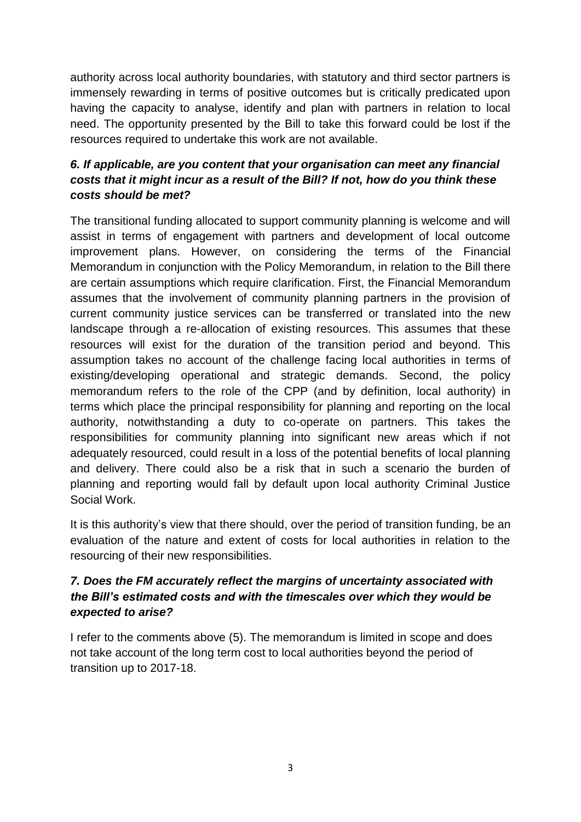authority across local authority boundaries, with statutory and third sector partners is immensely rewarding in terms of positive outcomes but is critically predicated upon having the capacity to analyse, identify and plan with partners in relation to local need. The opportunity presented by the Bill to take this forward could be lost if the resources required to undertake this work are not available.

# *6. If applicable, are you content that your organisation can meet any financial costs that it might incur as a result of the Bill? If not, how do you think these costs should be met?*

The transitional funding allocated to support community planning is welcome and will assist in terms of engagement with partners and development of local outcome improvement plans. However, on considering the terms of the Financial Memorandum in conjunction with the Policy Memorandum, in relation to the Bill there are certain assumptions which require clarification. First, the Financial Memorandum assumes that the involvement of community planning partners in the provision of current community justice services can be transferred or translated into the new landscape through a re-allocation of existing resources. This assumes that these resources will exist for the duration of the transition period and beyond. This assumption takes no account of the challenge facing local authorities in terms of existing/developing operational and strategic demands. Second, the policy memorandum refers to the role of the CPP (and by definition, local authority) in terms which place the principal responsibility for planning and reporting on the local authority, notwithstanding a duty to co-operate on partners. This takes the responsibilities for community planning into significant new areas which if not adequately resourced, could result in a loss of the potential benefits of local planning and delivery. There could also be a risk that in such a scenario the burden of planning and reporting would fall by default upon local authority Criminal Justice Social Work.

It is this authority's view that there should, over the period of transition funding, be an evaluation of the nature and extent of costs for local authorities in relation to the resourcing of their new responsibilities.

# *7. Does the FM accurately reflect the margins of uncertainty associated with the Bill's estimated costs and with the timescales over which they would be expected to arise?*

I refer to the comments above (5). The memorandum is limited in scope and does not take account of the long term cost to local authorities beyond the period of transition up to 2017-18.